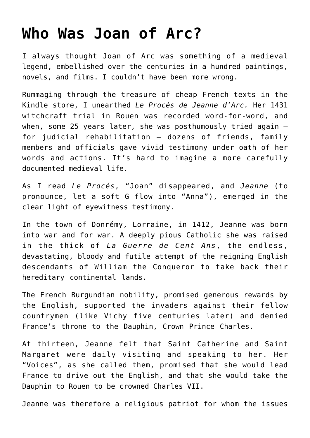## **[Who Was Joan of Arc?](https://intellectualtakeout.org/2016/05/who-was-joan-of-arc/)**

I always thought Joan of Arc was something of a medieval legend, embellished over the centuries in a hundred paintings, novels, and films. I couldn't have been more wrong.

Rummaging through the treasure of cheap French texts in the Kindle store, I unearthed *Le Procés de Jeanne d'Arc.* Her 1431 witchcraft trial in Rouen was recorded word-for-word, and when, some 25 years later, she was posthumously tried again  $$ for judicial rehabilitation — dozens of friends, family members and officials gave vivid testimony under oath of her words and actions. It's hard to imagine a more carefully documented medieval life.

As I read *Le Procés*, "Joan" disappeared, and *Jeanne* (to pronounce, let a soft G flow into "Anna"), emerged in the clear light of eyewitness testimony.

In the town of Donrémy, Lorraine, in 1412, Jeanne was born into war and for war. A deeply pious Catholic she was raised in the thick of *La Guerre de Cent Ans*, the endless, devastating, bloody and futile attempt of the reigning English descendants of William the Conqueror to take back their hereditary continental lands.

The French Burgundian nobility, promised generous rewards by the English, supported the invaders against their fellow countrymen (like Vichy five centuries later) and denied France's throne to the Dauphin, Crown Prince Charles.

At thirteen, Jeanne felt that Saint Catherine and Saint Margaret were daily visiting and speaking to her. Her "Voices", as she called them, promised that she would lead France to drive out the English, and that she would take the Dauphin to Rouen to be crowned Charles VII.

Jeanne was therefore a religious patriot for whom the issues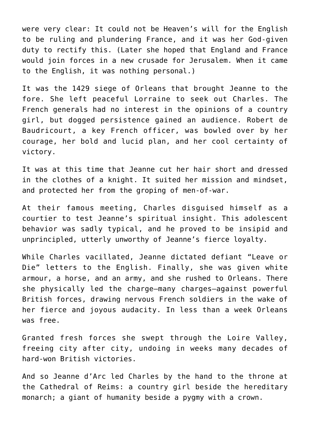were very clear: It could not be Heaven's will for the English to be ruling and plundering France, and it was her God-given duty to rectify this. (Later she hoped that England and France would join forces in a new crusade for Jerusalem. When it came to the English, it was nothing personal.)

It was the 1429 siege of Orleans that brought Jeanne to the fore. She left peaceful Lorraine to seek out Charles. The French generals had no interest in the opinions of a country girl, but dogged persistence gained an audience. Robert de Baudricourt, a key French officer, was bowled over by her courage, her bold and lucid plan, and her cool certainty of victory.

It was at this time that Jeanne cut her hair short and dressed in the clothes of a knight. It suited her mission and mindset, and protected her from the groping of men-of-war.

At their famous meeting, Charles disguised himself as a courtier to test Jeanne's spiritual insight. This adolescent behavior was sadly typical, and he proved to be insipid and unprincipled, utterly unworthy of Jeanne's fierce loyalty.

While Charles vacillated, Jeanne dictated defiant "Leave or Die" letters to the English. Finally, she was given white armour, a horse, and an army, and she rushed to Orleans. There she physically led the charge—many charges—against powerful British forces, drawing nervous French soldiers in the wake of her fierce and joyous audacity. In less than a week Orleans was free.

Granted fresh forces she swept through the Loire Valley, freeing city after city, undoing in weeks many decades of hard-won British victories.

And so Jeanne d'Arc led Charles by the hand to the throne at the Cathedral of Reims: a country girl beside the hereditary monarch; a giant of humanity beside a pygmy with a crown.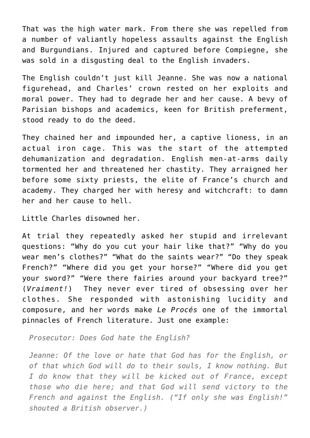That was the high water mark. From there she was repelled from a number of valiantly hopeless assaults against the English and Burgundians. Injured and captured before Compiegne, she was sold in a disgusting deal to the English invaders.

The English couldn't just kill Jeanne. She was now a national figurehead, and Charles' crown rested on her exploits and moral power. They had to degrade her and her cause. A bevy of Parisian bishops and academics, keen for British preferment, stood ready to do the deed.

They chained her and impounded her, a captive lioness, in an actual iron cage. This was the start of the attempted dehumanization and degradation. English men-at-arms daily tormented her and threatened her chastity. They arraigned her before some sixty priests, the elite of France's church and academy. They charged her with heresy and witchcraft: to damn her and her cause to hell.

Little Charles disowned her.

At trial they repeatedly asked her stupid and irrelevant questions: "Why do you cut your hair like that?" "Why do you wear men's clothes?" "What do the saints wear?" "Do they speak French?" "Where did you get your horse?" "Where did you get your sword?" "Were there fairies around your backyard tree?" (*Vraiment!*) They never ever tired of obsessing over her clothes. She responded with astonishing lucidity and composure, and her words make *Le Procés* one of the immortal pinnacles of French literature. Just one example:

*Prosecutor: Does God hate the English?* 

*Jeanne: Of the love or hate that God has for the English, or of that which God will do to their souls, I know nothing. But I do know that they will be kicked out of France, except those who die here; and that God will send victory to the French and against the English. ("If only she was English!" shouted a British observer.)*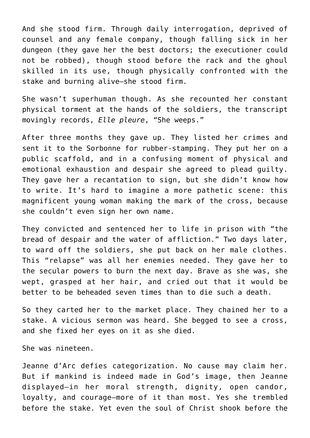And she stood firm. Through daily interrogation, deprived of counsel and any female company, though falling sick in her dungeon (they gave her the best doctors; the executioner could not be robbed), though stood before the rack and the ghoul skilled in its use, though physically confronted with the stake and burning alive—she stood firm.

She wasn't superhuman though. As she recounted her constant physical torment at the hands of the soldiers, the transcript movingly records, *Elle pleure*, "She weeps."

After three months they gave up. They listed her crimes and sent it to the Sorbonne for rubber-stamping. They put her on a public scaffold, and in a confusing moment of physical and emotional exhaustion and despair she agreed to plead guilty. They gave her a recantation to sign, but she didn't know how to write. It's hard to imagine a more pathetic scene: this magnificent young woman making the mark of the cross, because she couldn't even sign her own name.

They convicted and sentenced her to life in prison with "the bread of despair and the water of affliction." Two days later, to ward off the soldiers, she put back on her male clothes. This "relapse" was all her enemies needed. They gave her to the secular powers to burn the next day. Brave as she was, she wept, grasped at her hair, and cried out that it would be better to be beheaded seven times than to die such a death.

So they carted her to the market place. They chained her to a stake. A vicious sermon was heard. She begged to see a cross, and she fixed her eyes on it as she died.

She was nineteen.

Jeanne d'Arc defies categorization. No cause may claim her. But if mankind is indeed made in God's image, then Jeanne displayed—in her moral strength, dignity, open candor, loyalty, and courage—more of it than most. Yes she trembled before the stake. Yet even the soul of Christ shook before the